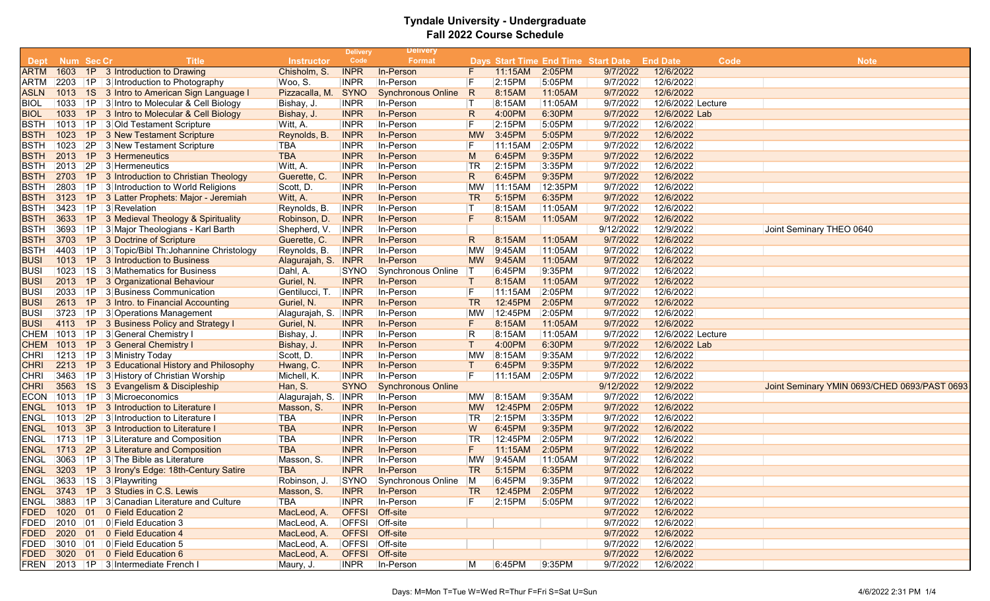|             |            |    |                                                    |                       | <b>Delivery</b> | <b>Delivery</b>           |              |         |         |                                     |                   |      |                                              |
|-------------|------------|----|----------------------------------------------------|-----------------------|-----------------|---------------------------|--------------|---------|---------|-------------------------------------|-------------------|------|----------------------------------------------|
| Dept        | Num Sec Cr |    | <b>Title</b>                                       | <b>Instructor</b>     | Code            | Format                    |              |         |         | Days Start Time End Time Start Date | <b>End Date</b>   | Code | <b>Note</b>                                  |
| <b>ARTM</b> |            |    | 1603 1P 3 Introduction to Drawing                  | Chisholm, S.          | <b>INPR</b>     | In-Person                 | F            | 11:15AM | 2:05PM  | 9/7/2022                            | 12/6/2022         |      |                                              |
| ARTM        |            |    | 2203   1P   3 Introduction to Photography          | Woo, S.               | <b>INPR</b>     | In-Person                 | F            | 2:15PM  | 5:05PM  | 9/7/2022                            | 12/6/2022         |      |                                              |
| ASLN        |            |    | 1013 1S 3 Intro to American Sign Language I        | Pizzacalla, M. SYNO   |                 | <b>Synchronous Online</b> | R            | 8:15AM  | 11:05AM | 9/7/2022                            | 12/6/2022         |      |                                              |
| <b>BIOL</b> |            |    | 1033 1P 3 Intro to Molecular & Cell Biology        | Bishay, J.            | <b>INPR</b>     | In-Person                 | $\top$       | 8:15AM  | 11:05AM | 9/7/2022                            | 12/6/2022 Lecture |      |                                              |
| <b>BIOL</b> |            |    | 1033 1P 3 Intro to Molecular & Cell Biology        | Bishay, J.            | <b>INPR</b>     | In-Person                 | R            | 4:00PM  | 6:30PM  | 9/7/2022                            | 12/6/2022 Lab     |      |                                              |
| <b>BSTH</b> |            |    | 1013   1P   3 Old Testament Scripture              | Witt, A.              | <b>INPR</b>     | In-Person                 | F            | 2:15PM  | 5:05PM  | 9/7/2022                            | 12/6/2022         |      |                                              |
| <b>BSTH</b> | 1023       | 1P | 3 New Testament Scripture                          | Reynolds, B.          | <b>INPR</b>     | In-Person                 | <b>MW</b>    | 3:45PM  | 5:05PM  | 9/7/2022                            | 12/6/2022         |      |                                              |
| <b>BSTH</b> | 1023       |    | 2P 3 New Testament Scripture                       | <b>TBA</b>            | <b>INPR</b>     | In-Person                 | F            | 11:15AM | 2:05PM  | 9/7/2022                            | 12/6/2022         |      |                                              |
| <b>BSTH</b> | 2013       | 1P | 3 Hermeneutics                                     | <b>TBA</b>            | <b>INPR</b>     | In-Person                 | M            | 6:45PM  | 9:35PM  | 9/7/2022                            | 12/6/2022         |      |                                              |
| <b>BSTH</b> |            |    | 2013 2P 3 Hermeneutics                             | Witt, A.              | <b>INPR</b>     | In-Person                 | TR           | 2:15PM  | 3:35PM  | 9/7/2022                            | 12/6/2022         |      |                                              |
| <b>BSTH</b> | 2703       | 1P | 3 Introduction to Christian Theology               | Guerette, C.          | <b>INPR</b>     | In-Person                 | R            | 6:45PM  | 9:35PM  | 9/7/2022                            | 12/6/2022         |      |                                              |
| <b>BSTH</b> | 2803       |    | $ 1P $ 3 Introduction to World Religions           | Scott, D.             | <b>INPR</b>     | In-Person                 | <b>MW</b>    | 11:15AM | 12:35PM | 9/7/2022                            | 12/6/2022         |      |                                              |
| <b>BSTH</b> | 3123       |    | 1P 3 Latter Prophets: Major - Jeremiah             | Witt, A.              | <b>INPR</b>     | In-Person                 | <b>TR</b>    | 5:15PM  | 6:35PM  | 9/7/2022                            | 12/6/2022         |      |                                              |
| <b>BSTH</b> |            |    | 3423 1P 3 Revelation                               | Reynolds, B.          | <b>INPR</b>     | In-Person                 | ΙT           | 8:15AM  | 11:05AM | 9/7/2022                            | 12/6/2022         |      |                                              |
| <b>BSTH</b> | 3633       |    | 1P 3 Medieval Theology & Spirituality              | Robinson, D.          | <b>INPR</b>     | In-Person                 | F            | 8:15AM  | 11:05AM | 9/7/2022                            | 12/6/2022         |      |                                              |
| BSTH        | 3693       |    | 1P 3 Major Theologians - Karl Barth                | Shepherd, V.          | <b>INPR</b>     | In-Person                 |              |         |         | 9/12/2022                           | 12/9/2022         |      | Joint Seminary THEO 0640                     |
| <b>BSTH</b> | 3703       |    | 1P 3 Doctrine of Scripture                         | Guerette, C.          | <b>INPR</b>     | In-Person                 | R            | 8:15AM  | 11:05AM | 9/7/2022                            | 12/6/2022         |      |                                              |
| <b>BSTH</b> |            |    | 4403   1P   3 Topic/Bibl Th: Johannine Christology | Reynolds, B.          | <b>INPR</b>     | In-Person                 | ΜW           | 9:45AM  | 11:05AM | 9/7/2022                            | 12/6/2022         |      |                                              |
| <b>BUSI</b> |            |    | 1013 1P 3 Introduction to Business                 | Alagurajah, S. INPR   |                 | In-Person                 | <b>MW</b>    | 9:45AM  | 11:05AM | 9/7/2022                            | 12/6/2022         |      |                                              |
| <b>BUSI</b> | 1023       |    | 1S 3 Mathematics for Business                      | Dahl, A.              | SYNO            | Synchronous Online        |              | 6:45PM  | 9:35PM  | 9/7/2022                            | 12/6/2022         |      |                                              |
| <b>BUSI</b> | 2013       | 1P | 3 Organizational Behaviour                         | Guriel, N.            | <b>INPR</b>     | In-Person                 | Τ            | 8:15AM  | 11:05AM | 9/7/2022                            | 12/6/2022         |      |                                              |
| BUSI        | 2033       |    | 1P 3 Business Communication                        | Gentilucci, T.        | <b>INPR</b>     | In-Person                 | F            | 11:15AM | 2:05PM  | 9/7/2022                            | 12/6/2022         |      |                                              |
| <b>BUSI</b> | 2613       |    | 1P 3 Intro. to Financial Accounting                | Guriel, N.            | <b>INPR</b>     | In-Person                 | TR           | 12:45PM | 2:05PM  | 9/7/2022                            | 12/6/2022         |      |                                              |
| <b>BUSI</b> | 3723       |    | $ 1P $ 3 Operations Management                     | Alagurajah, S.        | <b>INPR</b>     | In-Person                 | <b>MW</b>    | 12:45PM | 2:05PM  | 9/7/2022                            | 12/6/2022         |      |                                              |
| <b>BUSI</b> | 4113       |    | 1P 3 Business Policy and Strategy I                | Guriel, N.            | <b>INPR</b>     | In-Person                 | F            | 8:15AM  | 11:05AM | 9/7/2022                            | 12/6/2022         |      |                                              |
| CHEM        |            |    | 1013   1P   3 General Chemistry I                  | Bishay, J.            | <b>INPR</b>     | In-Person                 | R            | 8:15AM  | 11:05AM | 9/7/2022                            | 12/6/2022 Lecture |      |                                              |
| <b>CHEM</b> |            |    | 1013 1P 3 General Chemistry I                      | Bishay, J.            | <b>INPR</b>     | In-Person                 | $\mathsf{T}$ | 4:00PM  | 6:30PM  | 9/7/2022                            | 12/6/2022 Lab     |      |                                              |
| <b>CHRI</b> |            |    | 1213 1P 3 Ministry Today                           | Scott, D.             | <b>INPR</b>     | In-Person                 | <b>MW</b>    | 8:15AM  | 9:35AM  | 9/7/2022                            | 12/6/2022         |      |                                              |
| <b>CHRI</b> | 2213       |    | 1P 3 Educational History and Philosophy            | Hwang, C.             | <b>INPR</b>     | In-Person                 | $\top$       | 6:45PM  | 9:35PM  | 9/7/2022                            | 12/6/2022         |      |                                              |
| <b>CHRI</b> | 3463       |    | 1P 3 History of Christian Worship                  | Michell, K.           | <b>INPR</b>     | In-Person                 | F            | 11:15AM | 2:05PM  | 9/7/2022                            | 12/6/2022         |      |                                              |
| <b>CHRI</b> | 3563       |    | 1S 3 Evangelism & Discipleship                     | Han, S.               | <b>SYNO</b>     | <b>Synchronous Online</b> |              |         |         | 9/12/2022                           | 12/9/2022         |      | Joint Seminary YMIN 0693/CHED 0693/PAST 0693 |
| <b>ECON</b> |            |    | 1013   1P   3   Microeconomics                     | Alagurajah, S.   INPR |                 | In-Person                 | MW.          | 8:15AM  | 9:35AM  | 9/7/2022                            | 12/6/2022         |      |                                              |
| ENGL        | 1013       | 1P | 3 Introduction to Literature I                     | Masson, S.            | <b>INPR</b>     | In-Person                 | <b>MW</b>    | 12:45PM | 2:05PM  | 9/7/2022                            | 12/6/2022         |      |                                              |
| ENGL        | 1013       | 2P | 3 Introduction to Literature I                     | TBA                   | <b>INPR</b>     | In-Person                 | $ {\sf TR}$  | 2:15PM  | 3:35PM  | 9/7/2022                            | 12/6/2022         |      |                                              |
| ENGL        |            |    | 1013 3P 3 Introduction to Literature I             | <b>TBA</b>            | <b>INPR</b>     | In-Person                 | W            | 6:45PM  | 9:35PM  | 9/7/2022                            | 12/6/2022         |      |                                              |
| <b>ENGL</b> |            |    | 1713   1P   3 Literature and Composition           | <b>TBA</b>            | <b>INPR</b>     | In-Person                 | TR           | 12:45PM | 2:05PM  | 9/7/2022                            | 12/6/2022         |      |                                              |
| <b>ENGL</b> |            |    | 1713 2P 3 Literature and Composition               | <b>TBA</b>            | <b>INPR</b>     | In-Person                 | F.           | 11:15AM | 2:05PM  | 9/7/2022                            | 12/6/2022         |      |                                              |
| ENGL        | 3063       |    | 1P 3 The Bible as Literature                       | Masson, S.            | <b>INPR</b>     | In-Person                 | <b>MW</b>    | 9:45AM  | 11:05AM | 9/7/2022                            | 12/6/2022         |      |                                              |
| <b>ENGL</b> | 3203       |    | 1P 3 Irony's Edge: 18th-Century Satire             | <b>TBA</b>            | <b>INPR</b>     | In-Person                 | <b>TR</b>    | 5:15PM  | 6:35PM  | 9/7/2022                            | 12/6/2022         |      |                                              |
| <b>ENGL</b> |            |    | $ 3633 $ 1S $ 3 $ Playwriting                      | Robinson, J.          | SYNO            | Synchronous Online        | M            | 6:45PM  | 9:35PM  | 9/7/2022                            | 12/6/2022         |      |                                              |
| <b>ENGL</b> |            |    | 3743 1P 3 Studies in C.S. Lewis                    | Masson, S.            | <b>INPR</b>     | In-Person                 | TR.          | 12:45PM | 2:05PM  | 9/7/2022                            | 12/6/2022         |      |                                              |
| ENGL        |            |    | 3883 ∣1P   3 Canadian Literature and Culture       | TBA                   | <b>INPR</b>     | In-Person                 | F            | 2:15PM  | 5:05PM  | 9/7/2022                            | 12/6/2022         |      |                                              |
| <b>FDED</b> |            |    | 1020 01 0 Field Education 2                        | MacLeod, A.           |                 | OFFSI Off-site            |              |         |         | 9/7/2022                            | 12/6/2022         |      |                                              |
| FDED        |            |    | $ 2010 01 0 $ Field Education 3                    | MacLeod, A.           |                 | OFFSI Off-site            |              |         |         | 9/7/2022                            | 12/6/2022         |      |                                              |
| FDED        |            |    | 2020 01 0 Field Education 4                        | MacLeod, A.           |                 | OFFSI Off-site            |              |         |         | 9/7/2022                            | 12/6/2022         |      |                                              |
| FDED        |            |    | $ 3010 01 0 $ Field Education 5                    | MacLeod, A.           |                 | <b>OFFSI</b> Off-site     |              |         |         | 9/7/2022                            | 12/6/2022         |      |                                              |
| FDED        |            |    | 3020 01 0 Field Education 6                        | MacLeod, A.           |                 | OFFSI Off-site            |              |         |         | 9/7/2022                            | 12/6/2022         |      |                                              |
|             |            |    | FREN 2013 1P 3 Intermediate French I               | Maury, J.             | <b>INPR</b>     | In-Person                 | M            | 6:45PM  | 9:35PM  | 9/7/2022                            | 12/6/2022         |      |                                              |
|             |            |    |                                                    |                       |                 |                           |              |         |         |                                     |                   |      |                                              |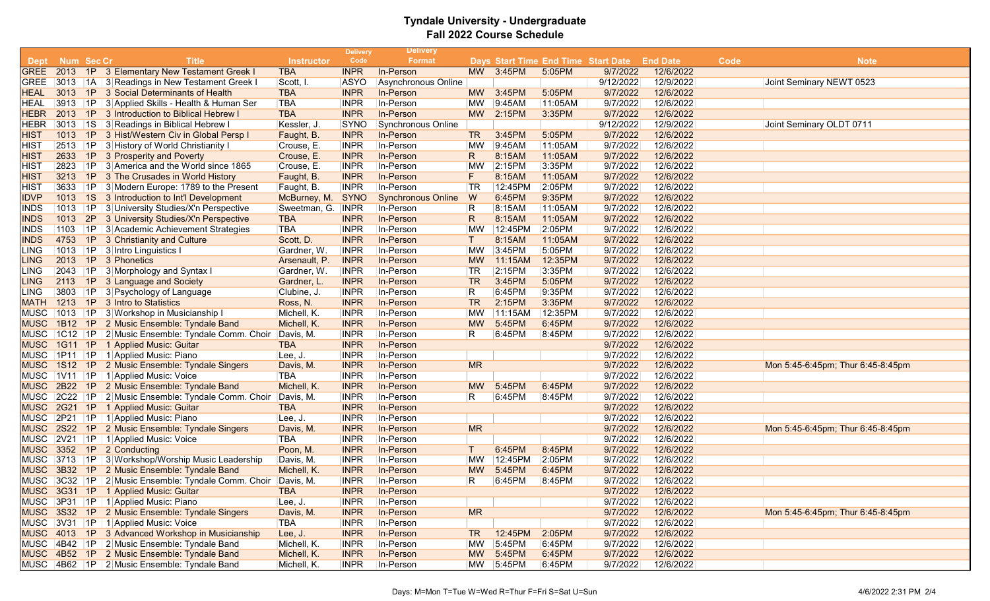|             |            |    |                                                    |                   | <b>Delivery</b> | <b>Delivery</b>           |                |           |                                     |           |                 |      |                                   |
|-------------|------------|----|----------------------------------------------------|-------------------|-----------------|---------------------------|----------------|-----------|-------------------------------------|-----------|-----------------|------|-----------------------------------|
| <b>Dept</b> | Num Sec Cr |    | <b>Title</b>                                       | <b>Instructor</b> | Code            | <b>Format</b>             |                |           | Days Start Time End Time Start Date |           | <b>End Date</b> | Code | <b>Note</b>                       |
| <b>GREE</b> |            |    | 2013 1P 3 Elementary New Testament Greek I         | <b>TBA</b>        | <b>INPR</b>     | In-Person                 |                | MW 3:45PM | 5:05PM                              | 9/7/2022  | 12/6/2022       |      |                                   |
| <b>GREE</b> |            |    | 3013   1A   3 Readings in New Testament Greek I    | Scott, I.         | ASYO            | Asynchronous Online       |                |           |                                     | 9/12/2022 | 12/9/2022       |      | Joint Seminary NEWT 0523          |
| HEAL        | 3013       |    | 1P 3 Social Determinants of Health                 | <b>TBA</b>        | <b>INPR</b>     | In-Person                 | <b>MW</b>      | 3:45PM    | 5:05PM                              | 9/7/2022  | 12/6/2022       |      |                                   |
| HEAL        | 3913 1P    |    | 3 Applied Skills - Health & Human Ser              | <b>TBA</b>        | <b>INPR</b>     | In-Person                 | <b>MW</b>      | 9:45AM    | 11:05AM                             | 9/7/2022  | 12/6/2022       |      |                                   |
| HEBR        |            |    | 2013 1P 3 Introduction to Biblical Hebrew I        | <b>TBA</b>        | <b>INPR</b>     | In-Person                 | <b>MW</b>      | 2:15PM    | 3:35PM                              | 9/7/2022  | 12/6/2022       |      |                                   |
| HEBR        |            |    | 3013   1S   3 Readings in Biblical Hebrew I        | Kessler, J.       | <b>SYNO</b>     | Synchronous Online        |                |           |                                     | 9/12/2022 | 12/9/2022       |      | Joint Seminary OLDT 0711          |
| HIST        | 1013       |    | 1P 3 Hist/Western Civ in Global Persp I            | Faught, B.        | <b>INPR</b>     | In-Person                 | TR <sub></sub> | 3:45PM    | 5:05PM                              | 9/7/2022  | 12/6/2022       |      |                                   |
| HIST        |            |    | 2513   1P   3 History of World Christianity I      | Crouse, E.        | <b>INPR</b>     | In-Person                 | <b>MW</b>      | 9:45AM    | $ 11:05$ AM                         | 9/7/2022  | 12/6/2022       |      |                                   |
| HIST        | 2633       |    | 1P 3 Prosperity and Poverty                        | Crouse, E.        | <b>INPR</b>     | In-Person                 | R              | 8:15AM    | 11:05AM                             | 9/7/2022  | 12/6/2022       |      |                                   |
| HIST        |            |    | 2823 1P 3 America and the World since 1865         | Crouse, E.        | <b>INPR</b>     | In-Person                 | <b>MW</b>      | 2:15PM    | 3:35PM                              | 9/7/2022  | 12/6/2022       |      |                                   |
| HIST        | 3213       |    | 1P 3 The Crusades in World History                 | Faught, B.        | <b>INPR</b>     | In-Person                 | F.             | 8:15AM    | 11:05AM                             | 9/7/2022  | 12/6/2022       |      |                                   |
| HIST        | 3633       |    | 1P 3 Modern Europe: 1789 to the Present            | Faught, B.        | <b>INPR</b>     | In-Person                 | TR             | 12:45PM   | 2:05PM                              | 9/7/2022  | 12/6/2022       |      |                                   |
| <b>IDVP</b> |            |    | 1013 1S 3 Introduction to Int'l Development        | McBurney, M. SYNO |                 | <b>Synchronous Online</b> | W              | 6:45PM    | 9:35PM                              | 9/7/2022  | 12/6/2022       |      |                                   |
| INDS        |            |    | 1013   1P   3 University Studies/X'n Perspective   | Sweetman, G. INPR |                 | In-Person                 | R              | 8:15AM    | $ 11:05$ AM                         | 9/7/2022  | 12/6/2022       |      |                                   |
| INDS        | 1013       |    | 2P 3 University Studies/X'n Perspective            | <b>TBA</b>        | <b>INPR</b>     | In-Person                 | R              | 8:15AM    | 11:05AM                             | 9/7/2022  | 12/6/2022       |      |                                   |
| INDS        | 1103       | 1P | 3 Academic Achievement Strategies                  | <b>TBA</b>        | <b>INPR</b>     | In-Person                 | <b>MW</b>      | 12:45PM   | 2:05PM                              | 9/7/2022  | 12/6/2022       |      |                                   |
| INDS        | 4753       |    | 1P 3 Christianity and Culture                      | Scott, D.         | <b>INPR</b>     | In-Person                 | $\top$         | 8:15AM    | 11:05AM                             | 9/7/2022  | 12/6/2022       |      |                                   |
| LING        |            |    | 1013   1P   3 Intro Linguistics I                  | Gardner, W.       | <b>INPR</b>     | In-Person                 | MW             | 3:45PM    | 5:05PM                              | 9/7/2022  | 12/6/2022       |      |                                   |
| LING        |            |    | 2013 1P 3 Phonetics                                | Arsenault, P.     | <b>INPR</b>     | In-Person                 | <b>MW</b>      | 11:15AM   | 12:35PM                             | 9/7/2022  | 12/6/2022       |      |                                   |
| LING        | 2043       |    | 1P 3 Morphology and Syntax I                       | Gardner, W.       | <b>INPR</b>     | In-Person                 | <b>TR</b>      | 2:15PM    | 3:35PM                              | 9/7/2022  | 12/6/2022       |      |                                   |
| LING.       | 2113       | 1P | 3 Language and Society                             | Gardner, L.       | <b>INPR</b>     | In-Person                 | <b>TR</b>      | 3:45PM    | 5:05PM                              | 9/7/2022  | 12/6/2022       |      |                                   |
| LING        |            |    | 3803 1P 3 Psychology of Language                   | Clubine, J.       | <b>INPR</b>     | In-Person                 | R              | 6:45PM    | 9:35PM                              | 9/7/2022  | 12/6/2022       |      |                                   |
| <b>MATH</b> |            |    | 1213 1P 3 Intro to Statistics                      | Ross, N.          | <b>INPR</b>     | In-Person                 | <b>TR</b>      | 2:15PM    | 3:35PM                              | 9/7/2022  | 12/6/2022       |      |                                   |
| MUSC        |            |    | 1013 1P 3 Workshop in Musicianship I               | Michell, K.       | <b>INPR</b>     | In-Person                 | <b>MW</b>      | 11:15AM   | 12:35PM                             | 9/7/2022  | 12/6/2022       |      |                                   |
| MUSC        |            |    | 1B12 1P 2 Music Ensemble: Tyndale Band             | Michell, K.       | <b>INPR</b>     | In-Person                 | <b>MW</b>      | 5:45PM    | 6:45PM                              | 9/7/2022  | 12/6/2022       |      |                                   |
| MUSC        |            |    | 1C12   1P   2 Music Ensemble: Tyndale Comm. Choir  | Davis, M.         | <b>INPR</b>     | In-Person                 | R              | 6:45PM    | 8:45PM                              | 9/7/2022  | 12/6/2022       |      |                                   |
| MUSC        |            |    | 1G11 1P 1 Applied Music: Guitar                    | <b>TBA</b>        | <b>INPR</b>     | In-Person                 |                |           |                                     | 9/7/2022  | 12/6/2022       |      |                                   |
|             |            |    | MUSC 1P11 1P 1 Applied Music: Piano                | Lee, J.           | <b>INPR</b>     | In-Person                 |                |           |                                     | 9/7/2022  | 12/6/2022       |      |                                   |
| MUSC        |            |    | 1S12 1P 2 Music Ensemble: Tyndale Singers          | Davis, M.         | <b>INPR</b>     | In-Person                 | <b>MR</b>      |           |                                     | 9/7/2022  | 12/6/2022       |      | Mon 5:45-6:45pm; Thur 6:45-8:45pm |
|             |            |    | MUSC 1V11 1P 1 Applied Music: Voice                | <b>TBA</b>        | <b>INPR</b>     | In-Person                 |                |           |                                     | 9/7/2022  | 12/6/2022       |      |                                   |
| MUSC        |            |    | 2B22 1P 2 Music Ensemble: Tyndale Band             | Michell, K.       | <b>INPR</b>     | In-Person                 | <b>MW</b>      | 5:45PM    | 6:45PM                              | 9/7/2022  | 12/6/2022       |      |                                   |
|             |            |    | MUSC 2C22 1P 2 Music Ensemble: Tyndale Comm. Choir | Davis, M.         | <b>INPR</b>     | In-Person                 | R              | 6:45PM    | 8:45PM                              | 9/7/2022  | 12/6/2022       |      |                                   |
|             |            |    | MUSC 2G21 1P 1 Applied Music: Guitar               | <b>TBA</b>        | <b>INPR</b>     | In-Person                 |                |           |                                     | 9/7/2022  | 12/6/2022       |      |                                   |
| MUSC        |            |    | 2P21   1P   1 Applied Music: Piano                 | Lee, J.           | <b>INPR</b>     | In-Person                 |                |           |                                     | 9/7/2022  | 12/6/2022       |      |                                   |
| MUSC        | 2S22       |    | 1P 2 Music Ensemble: Tyndale Singers               | Davis, M.         | <b>INPR</b>     | In-Person                 | <b>MR</b>      |           |                                     | 9/7/2022  | 12/6/2022       |      | Mon 5:45-6:45pm; Thur 6:45-8:45pm |
| MUSC        |            |    | 2V21 1P 1 Applied Music: Voice                     | <b>TBA</b>        | <b>INPR</b>     | In-Person                 |                |           |                                     | 9/7/2022  | 12/6/2022       |      |                                   |
|             |            |    | MUSC 3352 1P 2 Conducting                          | Poon, M.          | <b>INPR</b>     | In-Person                 | Т              | 6:45PM    | 8:45PM                              | 9/7/2022  | 12/6/2022       |      |                                   |
| MUSC        |            |    | 3713 1P 3 Workshop/Worship Music Leadership        | Davis, M.         | <b>INPR</b>     | In-Person                 | <b>MW</b>      | 12:45PM   | 2:05PM                              | 9/7/2022  | 12/6/2022       |      |                                   |
| MUSC        |            |    | 3B32 1P 2 Music Ensemble: Tyndale Band             | Michell, K.       | <b>INPR</b>     | In-Person                 | <b>MW</b>      | 5:45PM    | 6:45PM                              | 9/7/2022  | 12/6/2022       |      |                                   |
|             |            |    | MUSC 3C32 1P 2 Music Ensemble: Tyndale Comm. Choir | Davis, M.         | <b>INPR</b>     | In-Person                 | R              | 6:45PM    | 8:45PM                              | 9/7/2022  | 12/6/2022       |      |                                   |
|             |            |    | MUSC 3G31 1P 1 Applied Music: Guitar               | <b>TBA</b>        | <b>INPR</b>     | In-Person                 |                |           |                                     | 9/7/2022  | 12/6/2022       |      |                                   |
|             |            |    | MUSC 3P31 1P 1 Applied Music: Piano                | Lee, J.           | <b>INPR</b>     | In-Person                 |                |           |                                     | 9/7/2022  | 12/6/2022       |      |                                   |
|             |            |    | MUSC 3S32 1P 2 Music Ensemble: Tyndale Singers     | Davis, M.         | <b>INPR</b>     | In-Person                 | <b>MR</b>      |           |                                     | 9/7/2022  | 12/6/2022       |      | Mon 5:45-6:45pm; Thur 6:45-8:45pm |
|             |            |    | MUSC 3V31 1P 1 Applied Music: Voice                | TBA               | <b>INPR</b>     | In-Person                 |                |           |                                     | 9/7/2022  | 12/6/2022       |      |                                   |
|             |            |    | MUSC 4013 1P 3 Advanced Workshop in Musicianship   | Lee, J.           | <b>INPR</b>     | In-Person                 | TR             | 12:45PM   | 2:05PM                              | 9/7/2022  | 12/6/2022       |      |                                   |
|             |            |    | MUSC 4B42 1P 2 Music Ensemble: Tyndale Band        | Michell, K.       | <b>INPR</b>     | In-Person                 | <b>MW</b>      | 5:45PM    | 6:45PM                              | 9/7/2022  | 12/6/2022       |      |                                   |
|             |            |    | MUSC 4B52 1P 2 Music Ensemble: Tyndale Band        | Michell, K.       | <b>INPR</b>     | In-Person                 | <b>MW</b>      | 5:45PM    | 6:45PM                              | 9/7/2022  | 12/6/2022       |      |                                   |
|             |            |    | MUSC 4B62 1P 2 Music Ensemble: Tyndale Band        | Michell, K.       | <b>INPR</b>     | In-Person                 |                | MW 5:45PM | 6:45PM                              | 9/7/2022  | 12/6/2022       |      |                                   |
|             |            |    |                                                    |                   |                 |                           |                |           |                                     |           |                 |      |                                   |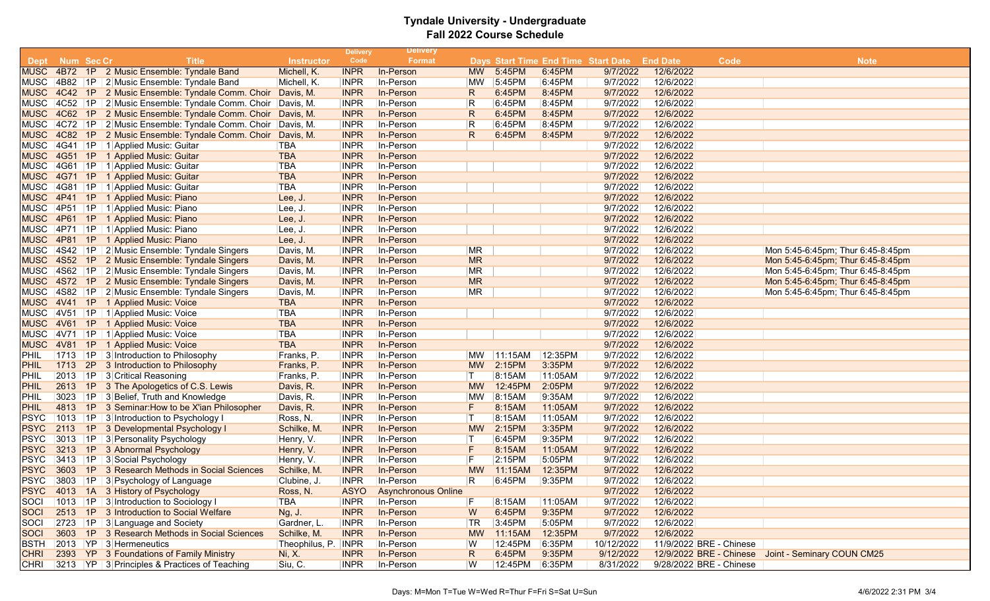|             |                     |                                                              |                     | <b>Delivery</b> | <b>Delivery</b>            |              |         |         |                                     |                 |                         |                                                    |
|-------------|---------------------|--------------------------------------------------------------|---------------------|-----------------|----------------------------|--------------|---------|---------|-------------------------------------|-----------------|-------------------------|----------------------------------------------------|
| <b>Dept</b> | Num Sec Cr          | <b>Title</b>                                                 | <b>Instructor</b>   | Code            | Format                     |              |         |         | Days Start Time End Time Start Date | <b>End Date</b> | Code                    | <b>Note</b>                                        |
| <b>MUSC</b> |                     | 4B72 1P 2 Music Ensemble: Tyndale Band                       | Michell, K.         | <b>INPR</b>     | In-Person                  | <b>MW</b>    | 5:45PM  | 6:45PM  | 9/7/2022                            | 12/6/2022       |                         |                                                    |
|             |                     | MUSC 4B82 1P 2 Music Ensemble: Tyndale Band                  | Michell, K.         | <b>INPR</b>     | In-Person                  | <b>MW</b>    | 5:45PM  | 6:45PM  | 9/7/2022                            | 12/6/2022       |                         |                                                    |
|             |                     | MUSC 4C42 1P 2 Music Ensemble: Tyndale Comm. Choir Davis, M. |                     | <b>INPR</b>     | In-Person                  | R            | 6:45PM  | 8:45PM  | 9/7/2022                            | 12/6/2022       |                         |                                                    |
|             |                     | MUSC 4C52 1P 2 Music Ensemble: Tyndale Comm. Choir Davis, M. |                     | <b>INPR</b>     | In-Person                  | R            | 6:45PM  | 8:45PM  | 9/7/2022                            | 12/6/2022       |                         |                                                    |
|             |                     | MUSC 4C62 1P 2 Music Ensemble: Tyndale Comm. Choir Davis, M. |                     | <b>INPR</b>     | In-Person                  | R            | 6:45PM  | 8:45PM  | 9/7/2022                            | 12/6/2022       |                         |                                                    |
|             |                     | MUSC 4C72 1P 2 Music Ensemble: Tyndale Comm. Choir Davis, M. |                     | <b>INPR</b>     | In-Person                  | $\mathsf R$  | 6:45PM  | 8:45PM  | 9/7/2022                            | 12/6/2022       |                         |                                                    |
| <b>MUSC</b> | 4C82 1P             | 2 Music Ensemble: Tyndale Comm. Choir Davis, M.              |                     | <b>INPR</b>     | In-Person                  | R            | 6:45PM  | 8:45PM  | 9/7/2022                            | 12/6/2022       |                         |                                                    |
|             |                     | MUSC 4G41 1P 1 Applied Music: Guitar                         | <b>TBA</b>          | <b>INPR</b>     | In-Person                  |              |         |         | 9/7/2022                            | 12/6/2022       |                         |                                                    |
|             |                     | MUSC 4G51 1P 1 Applied Music: Guitar                         | <b>TBA</b>          | <b>INPR</b>     | In-Person                  |              |         |         | 9/7/2022                            | 12/6/2022       |                         |                                                    |
|             |                     | MUSC 4G61 1P 1 Applied Music: Guitar                         | <b>TBA</b>          | <b>INPR</b>     | In-Person                  |              |         |         | 9/7/2022                            | 12/6/2022       |                         |                                                    |
|             | <b>MUSC 4G71 1P</b> | 1 Applied Music: Guitar                                      | <b>TBA</b>          | <b>INPR</b>     | In-Person                  |              |         |         | 9/7/2022                            | 12/6/2022       |                         |                                                    |
|             |                     | MUSC 4G81 1P 1 Applied Music: Guitar                         | <b>TBA</b>          | <b>INPR</b>     | In-Person                  |              |         |         | 9/7/2022                            | 12/6/2022       |                         |                                                    |
|             | MUSC 4P41 1P        | 1 Applied Music: Piano                                       | Lee, J.             | <b>INPR</b>     | In-Person                  |              |         |         | 9/7/2022                            | 12/6/2022       |                         |                                                    |
|             |                     | MUSC 4P51 1P 1 Applied Music: Piano                          | Lee, J.             | <b>INPR</b>     | In-Person                  |              |         |         | 9/7/2022                            | 12/6/2022       |                         |                                                    |
|             | MUSC 4P61 1P        | 1 Applied Music: Piano                                       | Lee, J.             | <b>INPR</b>     | In-Person                  |              |         |         | 9/7/2022                            | 12/6/2022       |                         |                                                    |
| MUSC        | 4P71 1P             | 1 Applied Music: Piano                                       | Lee, J.             | <b>INPR</b>     | In-Person                  |              |         |         | 9/7/2022                            | 12/6/2022       |                         |                                                    |
| <b>MUSC</b> | 4P81 1P             | 1 Applied Music: Piano                                       | Lee, J.             | <b>INPR</b>     | In-Person                  |              |         |         | 9/7/2022                            | 12/6/2022       |                         |                                                    |
|             |                     | MUSC 4S42 1P 2 Music Ensemble: Tyndale Singers               | Davis, M.           | <b>INPR</b>     | In-Person                  | MR           |         |         | 9/7/2022                            | 12/6/2022       |                         | Mon 5:45-6:45pm; Thur 6:45-8:45pm                  |
|             |                     | MUSC 4S52 1P 2 Music Ensemble: Tyndale Singers               | Davis, M.           | <b>INPR</b>     | In-Person                  | <b>MR</b>    |         |         | 9/7/2022                            | 12/6/2022       |                         | Mon 5:45-6:45pm; Thur 6:45-8:45pm                  |
|             |                     | MUSC 4S62 1P 2 Music Ensemble: Tyndale Singers               | Davis, M.           | <b>INPR</b>     | In-Person                  | <b>MR</b>    |         |         | 9/7/2022                            | 12/6/2022       |                         | Mon 5:45-6:45pm; Thur 6:45-8:45pm                  |
| <b>MUSC</b> |                     | 4S72 1P 2 Music Ensemble: Tyndale Singers                    | Davis, M.           | <b>INPR</b>     | In-Person                  | <b>MR</b>    |         |         | 9/7/2022                            | 12/6/2022       |                         | Mon 5:45-6:45pm; Thur 6:45-8:45pm                  |
|             |                     | MUSC 4S82 1P 2 Music Ensemble: Tyndale Singers               | Davis, M.           | <b>INPR</b>     | In-Person                  | <b>MR</b>    |         |         | 9/7/2022                            | 12/6/2022       |                         | Mon 5:45-6:45pm; Thur 6:45-8:45pm                  |
|             | <b>MUSC 4V41 1P</b> | 1 Applied Music: Voice                                       | <b>TBA</b>          | <b>INPR</b>     | In-Person                  |              |         |         | 9/7/2022                            | 12/6/2022       |                         |                                                    |
|             |                     | MUSC 4V51 1P 1 Applied Music: Voice                          | <b>TBA</b>          | <b>INPR</b>     | In-Person                  |              |         |         | 9/7/2022                            | 12/6/2022       |                         |                                                    |
| <b>MUSC</b> | 4V61 1P             | 1 Applied Music: Voice                                       | <b>TBA</b>          | <b>INPR</b>     | In-Person                  |              |         |         | 9/7/2022                            | 12/6/2022       |                         |                                                    |
|             |                     | MUSC 4V71 1P 1 Applied Music: Voice                          | <b>TBA</b>          | <b>INPR</b>     | In-Person                  |              |         |         | 9/7/2022                            | 12/6/2022       |                         |                                                    |
| <b>MUSC</b> | 4V81 1P             | 1 Applied Music: Voice                                       | <b>TBA</b>          | <b>INPR</b>     | In-Person                  |              |         |         | 9/7/2022                            | 12/6/2022       |                         |                                                    |
| PHIL        |                     | 1713 1P 3 Introduction to Philosophy                         | Franks, P.          | <b>INPR</b>     | In-Person                  | MW           | 11:15AM | 12:35PM | 9/7/2022                            | 12/6/2022       |                         |                                                    |
| PHIL        |                     | 1713 2P 3 Introduction to Philosophy                         | Franks, P.          | <b>INPR</b>     | In-Person                  | <b>MW</b>    | 2:15PM  | 3:35PM  | 9/7/2022                            | 12/6/2022       |                         |                                                    |
| PHIL        |                     | 2013   1P   3 Critical Reasoning                             | Franks, P.          | <b>INPR</b>     | In-Person                  | T            | 8:15AM  | 11:05AM | 9/7/2022                            | 12/6/2022       |                         |                                                    |
| PHIL        | 2613 1P             | 3 The Apologetics of C.S. Lewis                              | Davis, R.           | <b>INPR</b>     | In-Person                  | <b>MW</b>    | 12:45PM | 2:05PM  | 9/7/2022                            | 12/6/2022       |                         |                                                    |
| PHIL        | 3023                | 1P 3 Belief, Truth and Knowledge                             | Davis, R.           | <b>INPR</b>     | In-Person                  | <b>MW</b>    | 8:15AM  | 9:35AM  | 9/7/2022                            | 12/6/2022       |                         |                                                    |
| <b>PHIL</b> |                     | 4813 1P 3 Seminar: How to be X'ian Philosopher               | Davis, R.           | <b>INPR</b>     | In-Person                  | F.           | 8:15AM  | 11:05AM | 9/7/2022                            | 12/6/2022       |                         |                                                    |
| <b>PSYC</b> |                     | 1013   1P   3 Introduction to Psychology I                   | Ross, N.            | <b>INPR</b>     | In-Person                  | T            | 8:15AM  | 11:05AM | 9/7/2022                            | 12/6/2022       |                         |                                                    |
| <b>PSYC</b> | 2113                | 1P 3 Developmental Psychology I                              | Schilke, M.         | <b>INPR</b>     | In-Person                  | <b>MW</b>    | 2:15PM  | 3:35PM  | 9/7/2022                            | 12/6/2022       |                         |                                                    |
| <b>PSYC</b> |                     | 3013   1P   3   Personality Psychology                       | Henry, V.           | <b>INPR</b>     | In-Person                  | ΙT           | 6:45PM  | 9:35PM  | 9/7/2022                            | 12/6/2022       |                         |                                                    |
| <b>PSYC</b> |                     | 3213 1P 3 Abnormal Psychology                                | Henry, V.           | <b>INPR</b>     | In-Person                  | F            | 8:15AM  | 11:05AM | 9/7/2022                            | 12/6/2022       |                         |                                                    |
| PSYC        |                     | 3413   1P   3 Social Psychology                              | Henry, V.           | <b>INPR</b>     | In-Person                  | F            | 2:15PM  | 5:05PM  | 9/7/2022                            | 12/6/2022       |                         |                                                    |
| <b>PSYC</b> | 3603<br>1P          | 3 Research Methods in Social Sciences                        | Schilke, M          | <b>INPR</b>     | In-Person                  | <b>MW</b>    | 11:15AM | 12:35PM | 9/7/2022                            | 12/6/2022       |                         |                                                    |
|             |                     | PSYC 3803 1P 3 Psychology of Language                        | Clubine, J.         | <b>INPR</b>     | In-Person                  | R            | 6:45PM  | 9:35PM  | 9/7/2022                            | 12/6/2022       |                         |                                                    |
| <b>PSYC</b> |                     | 4013 1A 3 History of Psychology                              | Ross, N.            | <b>ASYO</b>     | <b>Asynchronous Online</b> |              |         |         | 9/7/2022                            | 12/6/2022       |                         |                                                    |
| SOCI        |                     | 1013 1P 3 Introduction to Sociology I                        | <b>TBA</b>          | <b>INPR</b>     | In-Person                  | F            | 8:15AM  | 11:05AM | 9/7/2022                            | 12/6/2022       |                         |                                                    |
| <b>SOCI</b> | 2513 1P             | 3 Introduction to Social Welfare                             | Ng, J.              | <b>INPR</b>     | In-Person                  | W            | 6:45PM  | 9:35PM  | 9/7/2022                            | 12/6/2022       |                         |                                                    |
| SOCI        |                     | $ 2723 $   1P   3 Language and Society                       | Gardner, L.         | <b>INPR</b>     | In-Person                  | TR           | 3:45PM  | 5:05PM  | 9/7/2022                            | 12/6/2022       |                         |                                                    |
| <b>SOCI</b> |                     | 3603 1P 3 Research Methods in Social Sciences                | Schilke, M.         | <b>INPR</b>     | In-Person                  | <b>MW</b>    | 11:15AM | 12:35PM | 9/7/2022                            | 12/6/2022       |                         |                                                    |
| <b>BSTH</b> |                     | 2013 YP 3 Hermeneutics                                       | Theophilus, P. INPR |                 | In-Person                  | W            | 12:45PM | 6:35PM  | 10/12/2022                          |                 | 11/9/2022 BRE - Chinese |                                                    |
| <b>CHRI</b> |                     | 2393 YP 3 Foundations of Family Ministry                     | Ni, X.              | <b>INPR</b>     | In-Person                  | $\mathsf{R}$ | 6:45PM  | 9:35PM  | 9/12/2022                           |                 |                         | 12/9/2022 BRE - Chinese Joint - Seminary COUN CM25 |
| <b>CHRI</b> |                     | 3213   YP   3 Principles & Practices of Teaching             | Siu, C.             | <b>INPR</b>     | In-Person                  | W            | 12:45PM | 6:35PM  | 8/31/2022                           |                 | 9/28/2022 BRE - Chinese |                                                    |
|             |                     |                                                              |                     |                 |                            |              |         |         |                                     |                 |                         |                                                    |